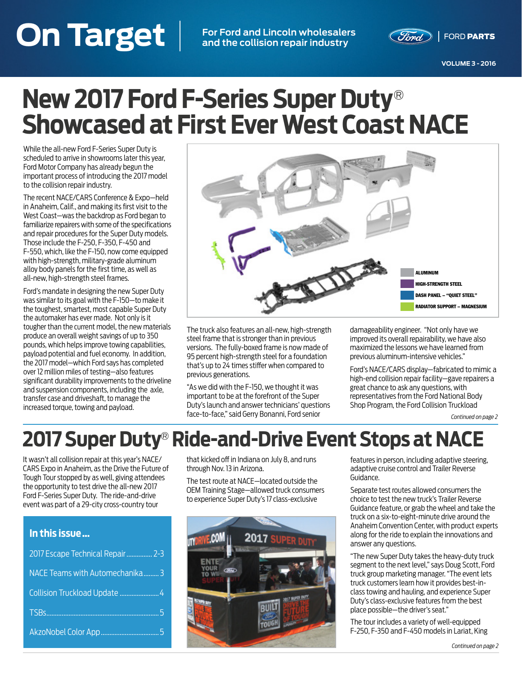## <span id="page-0-0"></span>**On Target VOLUME 3 - 2016 On Target For Ford and Lincoln wholesalers**

**and the collision repair industry**



**VOLUME 3 - 2016**

## **New 2017 Ford F-Series Super Duty**® **Showcased at First Ever West Coast NACE** JEHES JUPER DUTY<br>© Ever Weet Coact N

While the all-new Ford F-Series Super Duty is scheduled to arrive in showrooms later this year, Ford Motor Company has already begun the important process of introducing the 2017 model to the collision repair industry.

The recent NACE/CARS Conference & Expo—held in Anaheim, Calif., and making its first visit to the West Coast—was the backdrop as Ford began to familiarize repairers with some of the specifications and repair procedures for the Super Duty models. Those include the F-250, F-350, F-450 and F-550, which, like the F-150, now come equipped with high-strength, military-grade aluminum alloy body panels for the first time, as well as all-new, high-strength steel frames.

Ford's mandate in designing the new Super Duty was similar to its goal with the F-150—to make it the toughest, smartest, most capable Super Duty the automaker has ever made. Not only is it tougher than the current model, the new materials produce an overall weight savings of up to 350 pounds, which helps improve towing capabilities, payload potential and fuel economy. In addition, the 2017 model—which Ford says has completed over 12 million miles of testing—also features significant durability improvements to the driveline and suspension components, including the axle, transfer case and driveshaft, to manage the increased torque, towing and payload.



The truck also features an all-new, high-strength steel frame that is stronger than in previous versions. The fully-boxed frame is now made of 95 percent high-strength steel for a foundation that's up to 24 times stiffer when compared to previous generations.

"As we did with the F-150, we thought it was important to be at the forefront of the Super Duty's launch and answer technicians' questions face-to-face," said Gerry Bonanni, Ford senior

damageability engineer. "Not only have we improved its overall repairability, we have also maximized the lessons we have learned from previous aluminum-intensive vehicles."

Ford's NACE/CARS display—fabricated to mimic a high-end collision repair facility—gave repairers a great chance to ask any questions, with representatives from the Ford National Body Shop Program, the Ford Collision Truckload

*[Continued on page 2](#page-1-0)*

## **2017 Super Duty**® **Ride-and-Drive Event Stops at NACE**

It wasn't all collision repair at this year's NACE/ CARS Expo in Anaheim, as the Drive the Future of Tough Tour stopped by as well, giving attendees the opportunity to test drive the all-new 2017 Ford F-Series Super Duty. The ride-and-drive event was part of a 29-city cross-country tour

#### **In this issue …**

| 2017 Escape Technical Repair  2-3 |  |
|-----------------------------------|--|
| NACE Teams with Automechanika 3   |  |
|                                   |  |
|                                   |  |
|                                   |  |

that kicked off in Indiana on July 8, and runs through Nov. 13 in Arizona.

The test route at NACE—located outside the OEM Training Stage—allowed truck consumers to experience Super Duty's 17 class-exclusive



features in person, including adaptive steering, adaptive cruise control and Trailer Reverse Guidance.

Separate test routes allowed consumers the choice to test the new truck's Trailer Reverse Guidance feature, or grab the wheel and take the truck on a six-to-eight-minute drive around the Anaheim Convention Center, with product experts along for the ride to explain the innovations and answer any questions.

"The new Super Duty takes the heavy-duty truck segment to the next level," says Doug Scott, Ford truck group marketing manager. "The event lets truck customers learn how it provides best-inclass towing and hauling, and experience Super Duty's class-exclusive features from the best place possible—the driver's seat."

The tour includes a variety of well-equipped F-250, F-350 and F-450 models in Lariat, King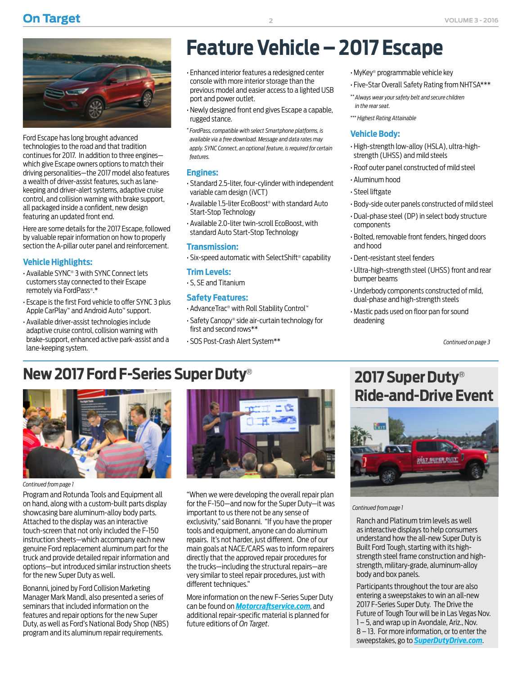### <span id="page-1-0"></span>**On Target 2 VOLUME 3 - 2016**



Ford Escape has long brought advanced technologies to the road and that tradition continues for 2017. In addition to three engines which give Escape owners options to match their driving personalities—the 2017 model also features a wealth of driver-assist features, such as lanekeeping and driver-alert systems, adaptive cruise control, and collision warning with brake support, all packaged inside a confident, new design featuring an updated front end.

Here are some details for the 2017 Escape, followed by valuable repair information on how to properly section the A-pillar outer panel and reinforcement.

#### **Vehicle Highlights:**

- Available SYNC® 3 with SYNC Connect lets customers stay connected to their Escape remotely via FordPass®.\*
- Escape is the first Ford vehicle to offer SYNC 3 plus Apple CarPlay™ and Android Auto™ support.
- Available driver-assist technologies include adaptive cruise control, collision warning with brake-support, enhanced active park-assist and a lane-keeping system.

## **Feature Vehicle – 2017 Escape**

- Enhanced interior features a redesigned center console with more interior storage than the previous model and easier access to a lighted USB port and power outlet.
- Newly designed front end gives Escape a capable, rugged stance.
- *\* FordPass, compatible with select Smartphone platforms, is available via a free download. Message and data rates may apply. SYNC Connect, an optional feature, is required for certain features.*

#### **Engines:**

- Standard 2.5-liter, four-cylinder with independent variable cam design (iVCT)
- Available 1.5-liter EcoBoost® with standard Auto Start-Stop Technology
- Available 2.0-liter twin-scroll EcoBoost, with standard Auto Start-Stop Technology

#### **Transmission:**

• Six-speed automatic with SelectShift® capability

#### **Trim Levels:**

• S, SE and Titanium

#### **Safety Features:**

- AdvanceTrac® with Roll Stability Control™
- Safety Canopy® side air-curtain technology for first and second rows\*\*
- SOS Post-Crash Alert System\*\*
- MyKey® programmable vehicle key
- Five-Star Overall Safety Rating from NHTSA\*\*\*
- *\*\* Always wear your safety belt and secure children in the rear seat.*
- *\*\*\* Highest Rating Attainable*

#### **Vehicle Body:**

- High-strength low-alloy (HSLA), ultra-highstrength (UHSS) and mild steels
- Roof outer panel constructed of mild steel
- Aluminum hood
- Steel liftgate
- Body-side outer panels constructed of mild steel
- Dual-phase steel (DP) in select body structure components
- Bolted, removable front fenders, hinged doors and hood
- Dent-resistant steel fenders
- Ultra-high-strength steel (UHSS) front and rear bumper beams
- Underbody components constructed of mild, dual-phase and high-strength steels
- Mastic pads used on floor pan for sound deadening

*[Continued on page 3](#page-2-0)*

### **New 2017 Ford F-Series Super Duty**®



*[Continued from page 1](#page-0-0)*

Program and Rotunda Tools and Equipment all on hand, along with a custom-built parts display showcasing bare aluminum-alloy body parts. Attached to the display was an interactive touch-screen that not only included the F-150 instruction sheets—which accompany each new genuine Ford replacement aluminum part for the truck and provide detailed repair information and options—but introduced similar instruction sheets for the new Super Duty as well.

Bonanni, joined by Ford Collision Marketing Manager Mark Mandl, also presented a series of seminars that included information on the features and repair options for the new Super Duty, as well as Ford's National Body Shop (NBS) program and its aluminum repair requirements.



"When we were developing the overall repair plan for the F-150—and now for the Super Duty—it was important to us there not be any sense of exclusivity," said Bonanni. "If you have the proper tools and equipment, anyone can do aluminum repairs. It's not harder, just different. One of our main goals at NACE/CARS was to inform repairers directly that the approved repair procedures for the trucks—including the structural repairs—are very similar to steel repair procedures, just with different techniques."

More information on the new F-Series Super Duty can be found on *[Motorcraftservice.com](https://www.motorcraftservice.com/)*, and additional repair-specific material is planned for future editions of *On Target*.

### **2017 Super Duty**® **Ride-and-Drive Event**



#### *[Continued from page 1](#page-0-0)*

Ranch and Platinum trim levels as well as interactive displays to help consumers understand how the all-new Super Duty is Built Ford Tough, starting with its highstrength steel frame construction and highstrength, military-grade, aluminum-alloy body and box panels.

Participants throughout the tour are also entering a sweepstakes to win an all-new 2017 F-Series Super Duty. The Drive the Future of Tough Tour will be in Las Vegas Nov. 1 – 5, and wrap up in Avondale, Ariz., Nov. 8 – 13. For more information, or to enter the sweepstakes, go to *[SuperDutyDrive.com](http://www.superdutydrive.com/)*.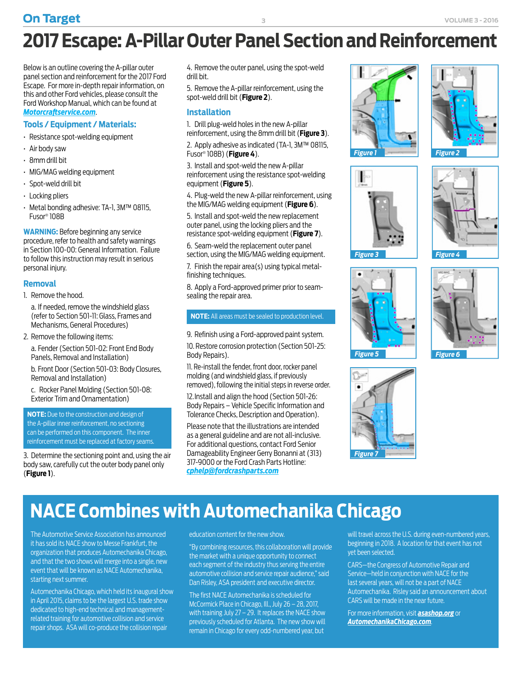## <span id="page-2-0"></span>**On Target 3 VOLUME 3 - 2016 2017 Escape: A-Pillar Outer Panel Section and Reinforcement**

Below is an outline covering the A-pillar outer panel section and reinforcement for the 2017 Ford Escape. For more in-depth repair information, on this and other Ford vehicles, please consult the Ford Workshop Manual, which can be found at *[Motorcraftservice.com](http://www.motorcraftservice.com/vdirs/retail/default.asp)*.

#### **Tools / Equipment / Materials:**

- Resistance spot-welding equipment
- Air body saw
- 8mm drill bit
- MIG/MAG welding equipment
- Spot-weld drill bit
- Locking pliers
- Metal bonding adhesive: TA-1, 3M™ 08115, Fusor® 108B

**WARNING:** Before beginning any service procedure, refer to health and safety warnings in Section 100-00: General Information. Failure to follow this instruction may result in serious personal injury.

#### **Removal**

1. Remove the hood.

 a. If needed, remove the windshield glass (refer to Section 501-11: Glass, Frames and Mechanisms, General Procedures)

2. Remove the following items:

 a. Fender (Section 501-02: Front End Body Panels, Removal and Installation)

 b. Front Door (Section 501-03: Body Closures, Removal and Installation)

 c. Rocker Panel Molding (Section 501-08: Exterior Trim and Ornamentation)

**NOTE:** Due to the construction and design of the A-pillar inner reinforcement, no sectioning can be performed on this component. The inner reinforcement must be replaced at factory seams.

3. Determine the sectioning point and, using the air body saw, carefully cut the outer body panel only (**Figure 1**).

4. Remove the outer panel, using the spot-weld drill bit.

5. Remove the A-pillar reinforcement, using the spot-weld drill bit (**Figure 2**).

#### **Installation**

1. Drill plug-weld holes in the new A-pillar reinforcement, using the 8mm drill bit (**Figure 3**).

2. Apply adhesive as indicated (TA-1, 3M™ 08115, Fusor® 108B) (**Figure 4**).

3. Install and spot-weld the new A-pillar reinforcement using the resistance spot-welding equipment (**Figure 5**).

4. Plug-weld the new A-pillar reinforcement, using the MIG/MAG welding equipment (**Figure 6**).

5. Install and spot-weld the new replacement outer panel, using the locking pliers and the resistance spot-welding equipment (**Figure 7**).

6. Seam-weld the replacement outer panel section, using the MIG/MAG welding equipment.

7. Finish the repair area(s) using typical metalfinishing techniques.

8. Apply a Ford-approved primer prior to seamsealing the repair area.

#### **NOTE:** All areas must be sealed to production level.

9. Refinish using a Ford-approved paint system. 10. Restore corrosion protection (Section 501-25: Body Repairs).

11. Re-install the fender, front door, rocker panel molding (and windshield glass, if previously removed), following the initial steps in reverse order.

12.Install and align the hood (Section 501-26: Body Repairs – Vehicle Specific Information and Tolerance Checks, Description and Operation).

Please note that the illustrations are intended as a general guideline and are not all-inclusive. For additional questions, contact Ford Senior Damageability Engineer Gerry Bonanni at (313) 317-9000 or the Ford Crash Parts Hotline: *[cphelp@fordcrashparts.com](mailto:cphelp@ford.com)*











*Figure 4*



## **NACE Combines with Automechanika Chicago**

The Automotive Service Association has announced it has sold its NACE show to Messe Frankfurt, the organization that produces Automechanika Chicago, and that the two shows will merge into a single, new event that will be known as NACE Automechanika, starting next summer.

Automechanika Chicago, which held its inaugural show in April 2015, claims to be the largest U.S. trade show dedicated to high-end technical and managementrelated training for automotive collision and service repair shops. ASA will co-produce the collision repair

education content for the new show.

"By combining resources, this collaboration will provide the market with a unique opportunity to connect each segment of the industry thus serving the entire automotive collision and service repair audience," said Dan Risley, ASA president and executive director.

The first NACE Automechanika is scheduled for McCormick Place in Chicago, Ill., July 26 – 28, 2017, with training July 27 – 29. It replaces the NACE show previously scheduled for Atlanta. The new show will remain in Chicago for every odd-numbered year, but

will travel across the U.S. during even-numbered years, beginning in 2018. A location for that event has not yet been selected.

CARS—the Congress of Automotive Repair and Service—held in conjunction with NACE for the last several years, will not be a part of NACE Automechanika. Risley said an announcement about CARS will be made in the near future.

For more information, visit *[asashop.org](http://asashop.org/)* or *[AutomechanikaChicago.com](http://automechanika-chicago.us.messefrankfurt.com/chicago/en/for_attendees/welcome.html)*.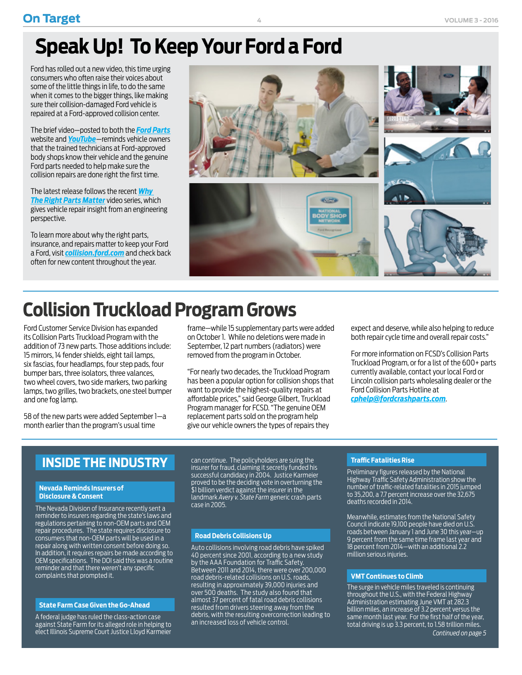## <span id="page-3-0"></span>**Speak Up! To Keep Your Ford a Ford**

Ford has rolled out a new video, this time urging consumers who often raise their voices about some of the little things in life, to do the same when it comes to the bigger things, like making sure their collision-damaged Ford vehicle is repaired at a Ford-approved collision center.

The brief video—posted to both the *[Ford Parts](http://collision.ford.com/)* website and *[YouTube](https://www.youtube.com/watch?v=GJ7n4GzsWI4)*—reminds vehicle owners that the trained technicians at Ford-approved body shops know their vehicle and the genuine Ford parts needed to help make sure the collision repairs are done right the first time.

The latest release follows the recent *[Why](https://www.youtube.com/playlist?list=PLzK4gWO2wLzqQ1QO9OlNtxeqAbMf1T_Rs)  [The Right Parts Matter](https://www.youtube.com/playlist?list=PLzK4gWO2wLzqQ1QO9OlNtxeqAbMf1T_Rs)* video series, which gives vehicle repair insight from an engineering perspective.

To learn more about why the right parts, insurance, and repairs matter to keep your Ford a Ford, visit *[collision.ford.com](http://collision.ford.com/)* and check back often for new content throughout the year.



## **Collision Truckload Program Grows**

Ford Customer Service Division has expanded its Collision Parts Truckload Program with the addition of 73 new parts. Those additions include: 15 mirrors, 14 fender shields, eight tail lamps, six fascias, four headlamps, four step pads, four bumper bars, three isolators, three valances, two wheel covers, two side markers, two parking lamps, two grilles, two brackets, one steel bumper and one fog lamp.

58 of the new parts were added September 1—a month earlier than the program's usual time

frame—while 15 supplementary parts were added on October 1. While no deletions were made in September, 12 part numbers (radiators) were removed from the program in October.

"For nearly two decades, the Truckload Program has been a popular option for collision shops that want to provide the highest-quality repairs at affordable prices," said George Gilbert, Truckload Program manager for FCSD. "The genuine OEM replacement parts sold on the program help give our vehicle owners the types of repairs they

expect and deserve, while also helping to reduce both repair cycle time and overall repair costs."

For more information on FCSD's Collision Parts Truckload Program, or for a list of the 600+ parts currently available, contact your local Ford or Lincoln collision parts wholesaling dealer or the Ford Collision Parts Hotline at *[cphelp@fordcrashparts.com](mailto:cphelp%40fordcrashparts.com?subject=Truck%20Load%20Program)*.

### **INSIDE THE INDUSTRY**

#### **Nevada Reminds Insurers of Disclosure & Consent**

The Nevada Division of Insurance recently sent a reminder to insurers regarding the state's laws and regulations pertaining to non-OEM parts and OEM repair procedures. The state requires disclosure to consumers that non-OEM parts will be used in a repair along with written consent before doing so. In addition, it requires repairs be made according to OEM specifications. The DOI said this was a routine reminder and that there weren't any specific complaints that prompted it.

#### **State Farm Case Given the Go-Ahead**

A federal judge has ruled the class-action case against State Farm for its alleged role in helping to elect Illinois Supreme Court Justice Lloyd Karmeier can continue. The policyholders are suing the insurer for fraud, claiming it secretly funded his successful candidacy in 2004. Justice Karmeier proved to be the deciding vote in overturning the \$1 billion verdict against the insurer in the landmark *Avery v. State Farm* generic crash parts case in 2005.

#### **Road Debris Collisions Up**

Auto collisions involving road debris have spiked 40 percent since 2001, according to a new study by the AAA Foundation for Traffic Safety. Between 2011 and 2014, there were over 200,000 road debris-related collisions on U.S. roads, resulting in approximately 39,000 injuries and over 500 deaths. The study also found that almost 37 percent of fatal road debris collisions resulted from drivers steering away from the debris, with the resulting overcorrection leading to an increased loss of vehicle control.

#### **Traffic Fatalities Rise**

Preliminary figures released by the National Highway Traffic Safety Administration show the number of traffic-related fatalities in 2015 jumped to 35,200, a 7.7 percent increase over the 32,675 deaths recorded in 2014.

Meanwhile, estimates from the National Safety Council indicate 19,100 people have died on U.S. roads between January 1 and June 30 this year—up 9 percent from the same time frame last year and 18 percent from 2014—with an additional 2.2 million serious injuries.

#### **VMT Continues to Climb**

The surge in vehicle miles traveled is continuing throughout the U.S., with the Federal Highway Administration estimating June VMT at 282.3 billion miles, an increase of 3.2 percent versus the same month last year. For the first half of the year, total driving is up 3.3 percent, to 1.58 trillion miles. *[Continued on page 5](#page-4-0)*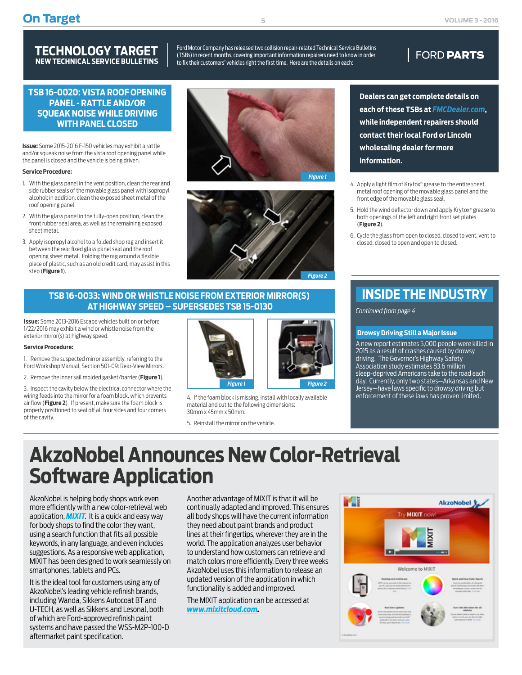#### <span id="page-4-0"></span>**TECHNOLOGY TARGET NEW TECHNICAL SERVICE BULLETINS**

#### Ford Motor Company has released two collision repair-related Technical Service Bulletins (TSBs) in recent months, covering important information repairers need to know in order to fix their customers' vehicles right the first time. Here are the details on each:

### **FORD PARTS**

#### **TSB 16-0020: VISTA ROOF OPENING PANEL - RATTLE AND/OR SQUEAK NOISE WHILE DRIVING WITH PANEL CLOSED**

**Issue:** Some 2015-2016 F-150 vehicles may exhibit a rattle and/or squeak noise from the vista roof opening panel while the panel is closed and the vehicle is being driven.

#### **Service Procedure:**

- 1. With the glass panel in the vent position, clean the rear and side rubber seals of the movable glass panel with isopropyl alcohol; in addition, clean the exposed sheet metal of the roof opening panel.
- 2. With the glass panel in the fully-open position, clean the front rubber seal area, as well as the remaining exposed sheet metal.
- 3. Apply isopropyl alcohol to a folded shop rag and insert it between the rear fixed glass panel seal and the roof opening sheet metal. Folding the rag around a flexible piece of plastic, such as an old credit card, may assist in this step (**Figure 1**).





#### **Dealers can get complete details on each of these TSBs at** *[FMCDealer.com](https://www.wslx.dealerconnection.com)***, while independent repairers should contact their local Ford or Lincoln wholesaling dealer for more information.**

- 4. Apply a light film of Krytox® grease to the entire sheet metal roof opening of the movable glass panel and the front edge of the movable glass seal.
- 5. Hold the wind deflector down and apply Krytox® grease to both openings of the left and right front set plates (**Figure 2**).
- 6. Cycle the glass from open to closed, closed to vent, vent to closed, closed to open and open to closed.

#### **TSB 16-0033: WIND OR WHISTLE NOISE FROM EXTERIOR MIRROR(S) AT HIGHWAY SPEED – SUPERSEDES TSB 15-0130**

**Issue:** Some 2013-2016 Escape vehicles built on or before 1/22/2016 may exhibit a wind or whistle noise from the exterior mirror(s) at highway speed.

#### **Service Procedure:**

1. Remove the suspected mirror assembly, referring to the Ford Workshop Manual, Section 501-09: Rear-View Mirrors.

2. Remove the inner sail molded gasket/barrier (**Figure 1**).

3. Inspect the cavity below the electrical connector where the wiring feeds into the mirror for a foam block, which prevents air flow (**Figure 2**). If present, make sure the foam block is properly positioned to seal off all four sides and four corners of the cavity.



4. If the foam block is missing, install with locally available material and cut to the following dimensions: 30mm x 45mm x 50mm.

5. Reinstall the mirror on the vehicle.

### **INSIDE THE INDUSTRY**

*[Continued from page 4](#page-3-0)*

#### **Drowsy Driving Still a Major Issue**

A new report estimates 5,000 people were killed in 2015 as a result of crashes caused by drowsy driving. The Governor's Highway Safety Association study estimates 83.6 million sleep-deprived Americans take to the road each day. Currently, only two states—Arkansas and New Jersey—have laws specific to drowsy driving but enforcement of these laws has proven limited.

## **AkzoNobel Announces New Color-Retrieval Software Application**

AkzoNobel is helping body shops work even more efficiently with a new color-retrieval web application, *[MIXIT](https://www.mixitcloud.com/#/landing)*. It is a quick and easy way for body shops to find the color they want, using a search function that fits all possible keywords, in any language, and even includes suggestions. As a responsive web application, MIXIT has been designed to work seamlessly on smartphones, tablets and PCs.

It is the ideal tool for customers using any of AkzoNobel's leading vehicle refinish brands, including Wanda, Sikkens Autocoat BT and U-TECH, as well as Sikkens and Lesonal, both of which are Ford-approved refinish paint systems and have passed the WSS-M2P-100-D aftermarket paint specification.

Another advantage of MIXIT is that it will be continually adapted and improved. This ensures all body shops will have the current information they need about paint brands and product lines at their fingertips, wherever they are in the world. The application analyzes user behavior to understand how customers can retrieve and match colors more efficiently. Every three weeks AkzoNobel uses this information to release an updated version of the application in which functionality is added and improved.

The MIXIT application can be accessed at *[www.mixitcloud.com.](https://www.mixitcloud.com/#/landing)*

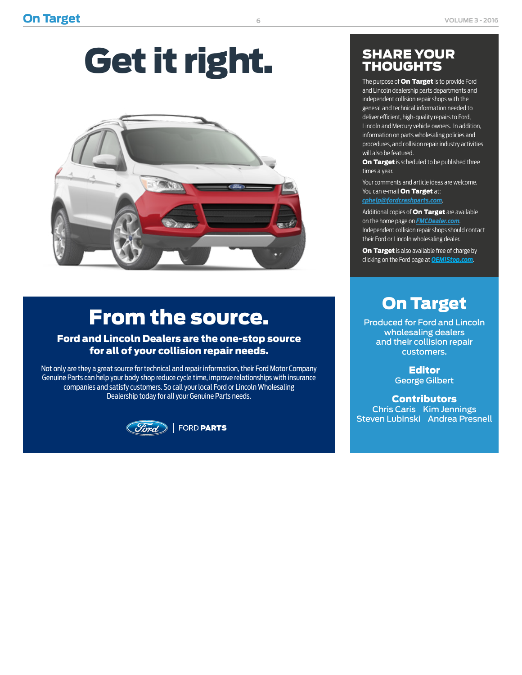# Get it right.



## From the source.

#### Ford and Lincoln Dealers are the one-stop source for all of your collision repair needs.

Not only are they a great source for technical and repair information, their Ford Motor Company Genuine Parts can help your body shop reduce cycle time, improve relationships with insurance companies and satisfy customers. So call your local Ford or Lincoln Wholesaling Dealership today for all your Genuine Parts needs.



### SHARE YOUR THOUGHTS

The purpose of **On Target** is to provide Ford and Lincoln dealership parts departments and independent collision repair shops with the general and technical information needed to deliver efficient, high-quality repairs to Ford, Lincoln and Mercury vehicle owners. In addition, information on parts wholesaling policies and procedures, and collision repair industry activities will also be featured.

On Target is scheduled to be published three times a year.

Your comments and article ideas are welcome. You can e-mail **On Target** at:

*[cphelp@fordcrashparts.com](mailto:cphelp%40fordcrashparts.com?subject=)*.

Additional copies of **On Target** are available on the home page on *[FMCDealer.com](https://www.wslx.dealerconnection.com)*. Independent collision repair shops should contact their Ford or Lincoln wholesaling dealer.

On Target is also available free of charge by clicking on the Ford page at *[OEM1Stop.com](http://OEM1Stop.com)*.

## On Target

Produced for Ford and Lincoln wholesaling dealers and their collision repair customers.

> **Editor** George Gilbert

**Contributors** Chris Caris Kim Jennings Steven Lubinski Andrea Presnell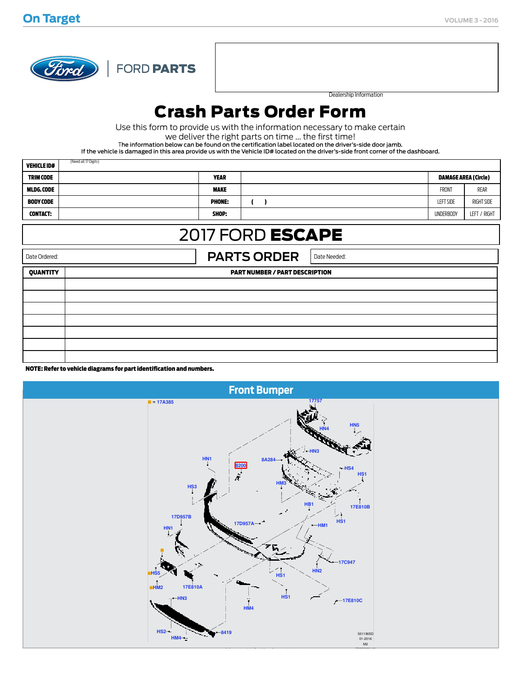

(Need all 17 Digits)

**FORD PARTS** 

Dealership Information

### Crash Parts Order Form

Use this form to provide us with the information necessary to make certain

we deliver the right parts on time ... the first time!

The information below can be found on the certification label located on the driver's-side door jamb.

If the vehicle is damaged in this area provide us with the Vehicle ID# located on the driver's-side front corner of the dashboard.

| <b>VEHICLE ID#</b> | (Need all 17 Digits) |               |                             |                   |
|--------------------|----------------------|---------------|-----------------------------|-------------------|
| <b>TRIM CODE</b>   |                      | <b>YEAR</b>   | <b>DAMAGE AREA (Circle)</b> |                   |
| <b>MLDG.CODE</b>   |                      | <b>MAKE</b>   | FRONT                       | rear              |
| BODY CODE          |                      | <b>PHONE:</b> | <b>LEFT SIDE</b>            | <b>RIGHT SIDE</b> |
| <b>CONTACT:</b>    |                      | SHOP:         | UNDERBODY                   | LEFT / RIGHT      |

### 2017 FORD ESCAPE

Date Ordered: **PARTS ORDER** Date Needed: QUANTITY PART NUMBER / PART DESCRIPTION

NOTE: Refer to vehicle diagrams for part identification and numbers.